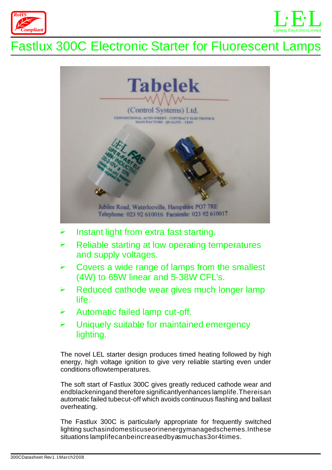



## Fastlux 300C Electronic Starter for Fluorescent Lamps



- $\blacktriangleright$ Instant light from extra fast starting.
- $\blacktriangleright$ Reliable starting at low operating temperatures and supply voltages.
- $\triangleright$ Covers a wide range of lamps from the smallest (4W) to 65W linear and 5-38W CFL's.
- $\blacktriangleright$ Reduced cathode wear gives much longer lamp life.
- $\blacktriangleright$ Automatic failed lamp cut-off.
- $\blacktriangleright$ Uniquely suitable for maintained emergency lighting.

The novel LEL starter design produces timed heating followed by high energy, high voltage ignition to give very reliable starting even under conditions oflowtemperatures.

The soft start of Fastlux 300C gives greatly reduced cathode wear and endblackeningand therefore significantlyenhances lamplife.Thereisan automatic failed tubecut-off which avoids continuous flashing and ballast overheating.

The Fastlux 300C is particularly appropriate for frequently switched lighting suchasindomesticuseorinenergymanagedschemes.Inthese situations lamplifecanbeincreasedbyasmuchas3or4times.